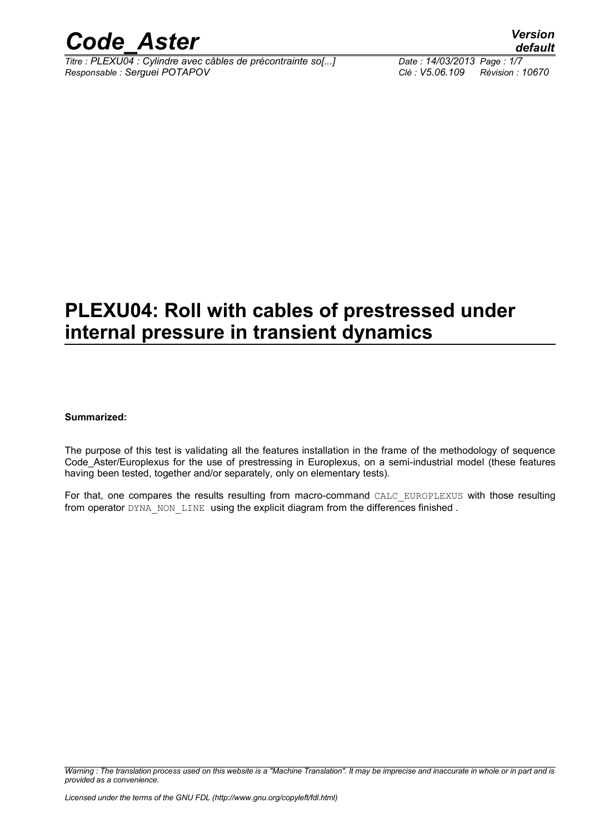

*Titre : PLEXU04 : Cylindre avec câbles de précontrainte so[...] Date : 14/03/2013 Page : 1/7 Responsable : Serguei POTAPOV Clé : V5.06.109 Révision : 10670*

### **PLEXU04: Roll with cables of prestressed under internal pressure in transient dynamics**

#### **Summarized:**

The purpose of this test is validating all the features installation in the frame of the methodology of sequence Code Aster/Europlexus for the use of prestressing in Europlexus, on a semi-industrial model (these features having been tested, together and/or separately, only on elementary tests).

For that, one compares the results resulting from macro-command CALC\_EUROPLEXUS with those resulting from operator DYNA\_NON\_LINE using the explicit diagram from the differences finished .

*Warning : The translation process used on this website is a "Machine Translation". It may be imprecise and inaccurate in whole or in part and is provided as a convenience.*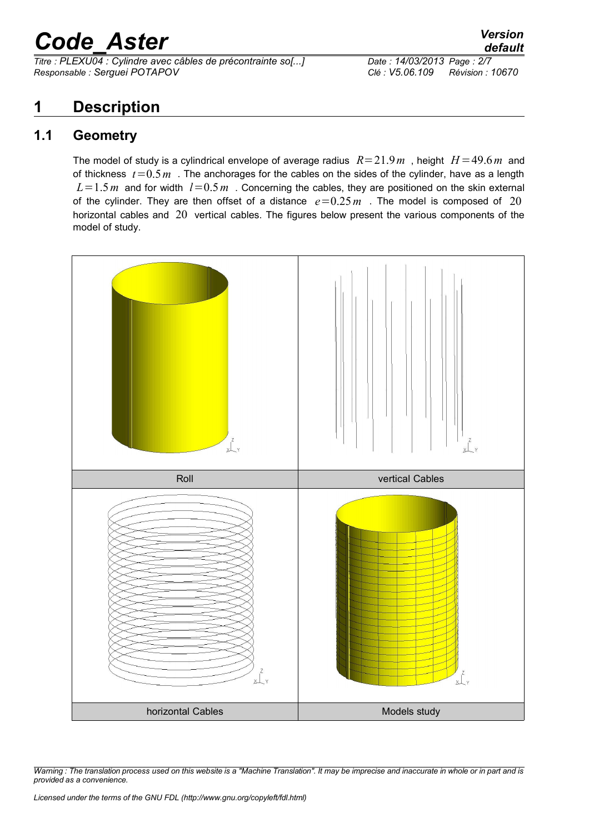*Titre : PLEXU04 : Cylindre avec câbles de précontrainte so[...] Date : 14/03/2013 Page : 2/7 Responsable : Serguei POTAPOV Clé : V5.06.109 Révision : 10670*

### **1 Description**

#### **1.1 Geometry**

The model of study is a cylindrical envelope of average radius  $R=21.9m$ , height  $H=49.6m$  and of thickness  $t=0.5m$ . The anchorages for the cables on the sides of the cylinder, have as a length  $L=1.5 m$  and for width  $l=0.5 m$ . Concerning the cables, they are positioned on the skin external of the cylinder. They are then offset of a distance  $e=0.25 m$ . The model is composed of 20 horizontal cables and 20 vertical cables. The figures below present the various components of the model of study.



*Warning : The translation process used on this website is a "Machine Translation". It may be imprecise and inaccurate in whole or in part and is provided as a convenience.*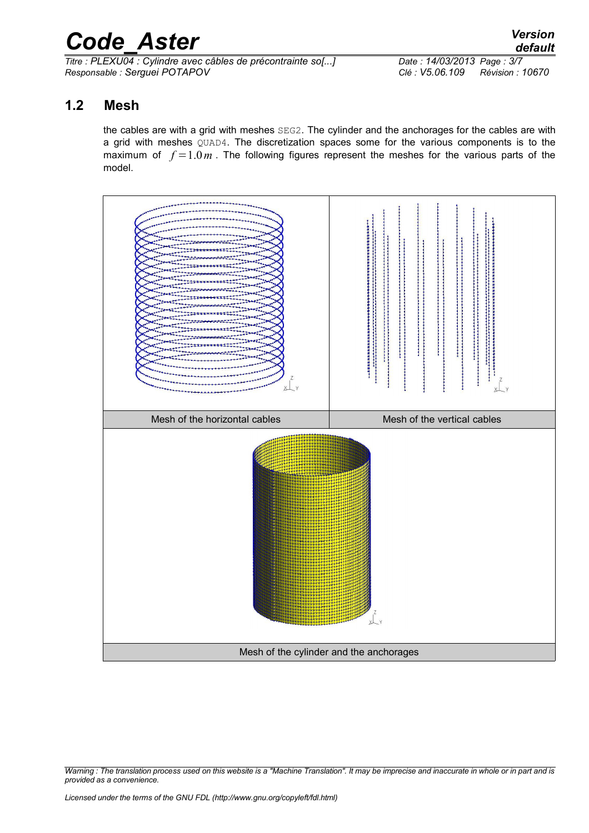*Titre : PLEXU04 : Cylindre avec câbles de précontrainte so[...] Date : 14/03/2013 Page : 3/7 Responsable : Serguei POTAPOV Clé : V5.06.109 Révision : 10670*

#### **1.2 Mesh**

the cables are with a grid with meshes SEG2. The cylinder and the anchorages for the cables are with a grid with meshes QUAD4. The discretization spaces some for the various components is to the maximum of  $f = 1.0m$ . The following figures represent the meshes for the various parts of the model.



*Warning : The translation process used on this website is a "Machine Translation". It may be imprecise and inaccurate in whole or in part and is provided as a convenience.*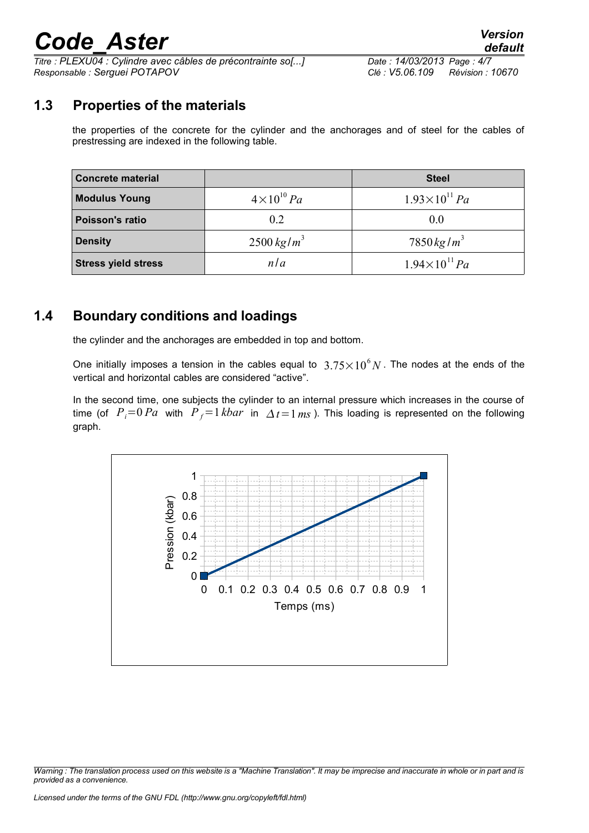*Titre : PLEXU04 : Cylindre avec câbles de précontrainte so[...] Date : 14/03/2013 Page : 4/7 Responsable : Serguei POTAPOV Clé : V5.06.109 Révision : 10670*

### **1.3 Properties of the materials**

the properties of the concrete for the cylinder and the anchorages and of steel for the cables of prestressing are indexed in the following table.

| <b>Concrete material</b>   |                     | <b>Steel</b>             |  |
|----------------------------|---------------------|--------------------------|--|
| <b>Modulus Young</b>       | $4\times10^{10}$ Pa | $1.93\times10^{11} Pa$   |  |
| Poisson's ratio            | 0.2                 | 0.0                      |  |
| <b>Density</b>             | $2500 \ kg/m^3$     | $7850 \,\mathrm{kg/m^3}$ |  |
| <b>Stress yield stress</b> | n l a               | $1.94\times10^{11} Pa$   |  |

#### **1.4 Boundary conditions and loadings**

the cylinder and the anchorages are embedded in top and bottom.

One initially imposes a tension in the cables equal to  $3.75\times10^6 N$  . The nodes at the ends of the vertical and horizontal cables are considered "active".

In the second time, one subjects the cylinder to an internal pressure which increases in the course of time (of  $P_i=0$  *Pa* with  $P_f=1$  *kbar* in  $\Delta t=1$  *ms* ). This loading is represented on the following graph.



*Warning : The translation process used on this website is a "Machine Translation". It may be imprecise and inaccurate in whole or in part and is provided as a convenience.*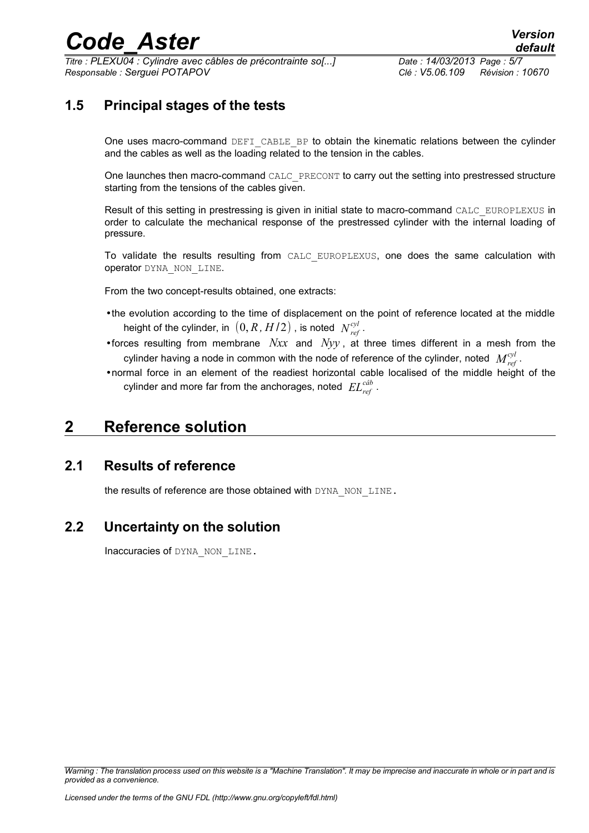*Titre : PLEXU04 : Cylindre avec câbles de précontrainte so[...] Date : 14/03/2013 Page : 5/7 Responsable : Serguei POTAPOV Clé : V5.06.109 Révision : 10670*

### **1.5 Principal stages of the tests**

One uses macro-command DEFI CABLE BP to obtain the kinematic relations between the cylinder and the cables as well as the loading related to the tension in the cables.

One launches then macro-command CALC\_PRECONT to carry out the setting into prestressed structure starting from the tensions of the cables given.

Result of this setting in prestressing is given in initial state to macro-command CALC\_EUROPLEXUS in order to calculate the mechanical response of the prestressed cylinder with the internal loading of pressure.

To validate the results resulting from CALC EUROPLEXUS, one does the same calculation with operator DYNA\_NON\_LINE.

From the two concept-results obtained, one extracts:

- •the evolution according to the time of displacement on the point of reference located at the middle height of the cylinder, in  $\,left(0,R,H/2\right)$  , is noted  $\,N_{\it ref}^{\it cyl}$  .
- •forces resulting from membrane *Nxx* and *Nyy* , at three times different in a mesh from the cylinder having a node in common with the node of reference of the cylinder, noted  $\;M^{cyl}_{\mathit{ref}}\;.$
- •normal force in an element of the readiest horizontal cable localised of the middle height of the cylinder and more far from the anchorages, noted *ELref câb* .

### **2 Reference solution**

#### **2.1 Results of reference**

the results of reference are those obtained with DYNA\_NON\_LINE.

#### **2.2 Uncertainty on the solution**

Inaccuracies of DYNA\_NON\_LINE.

*Warning : The translation process used on this website is a "Machine Translation". It may be imprecise and inaccurate in whole or in part and is provided as a convenience.*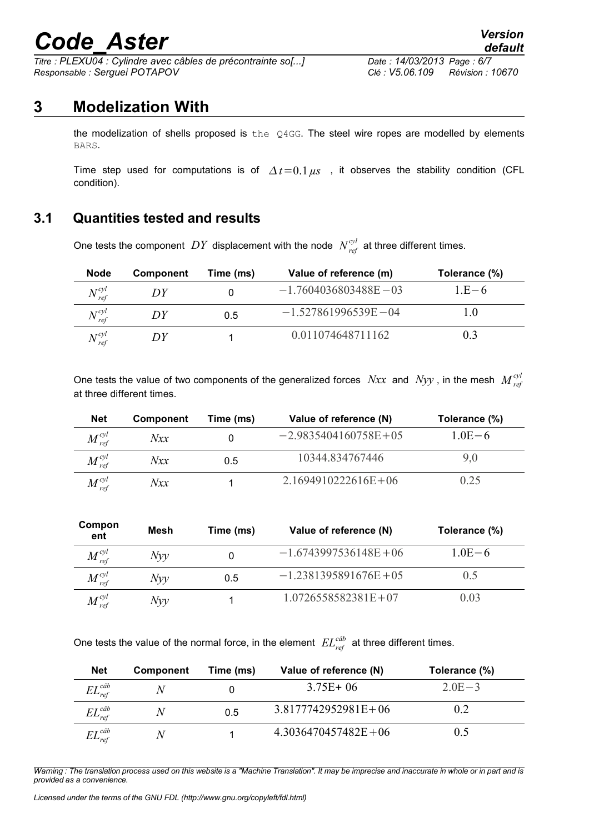*Titre : PLEXU04 : Cylindre avec câbles de précontrainte so[...] Date : 14/03/2013 Page : 6/7 Responsable : Serguei POTAPOV Clé : V5.06.109 Révision : 10670*

### **3 Modelization With**

the modelization of shells proposed is the  $Q4GG$ . The steel wire ropes are modelled by elements BARS.

Time step used for computations is of  $\Delta t = 0.1 \,\mu s$ , it observes the stability condition (CFL condition).

### **3.1 Quantities tested and results**

One tests the component  $DY$  displacement with the node  $N_{ref}^{cyl}$  at three different times.

| <b>Node</b>                   | <b>Component</b> | Time (ms) | Value of reference (m)   | Tolerance (%) |
|-------------------------------|------------------|-----------|--------------------------|---------------|
| $N_{\text{ref}}^{\text{cyl}}$ | DΥ               |           | $-1.7604036803488E - 03$ | 1 E $-6$      |
| $N_{\text{ref}}^{\text{cyl}}$ | DY               | 0.5       | $-1.527861996539E - 04$  |               |
| $N^{cyl}$<br>ref              | DΥ               |           | 0 011074648711162        | $(1)$ . $3$   |

One tests the value of two components of the generalized forces  $Nxx$  and  $Nyy$  , in the mesh  $M^{\text{cyl}}_{\text{ref}}$ at three different times.

| <b>Net</b>                        | <b>Component</b> | Time (ms) | Value of reference (N) | Tolerance (%) |
|-----------------------------------|------------------|-----------|------------------------|---------------|
| $M_{\mathit{ref}}^{\mathit{cyl}}$ | Nxx              |           | $-29835404160758E+05$  | $1.0E - 6.$   |
| $M_{\text{ref}}^{\text{cyl}}$     | Nxx              | 0.5       | 10344 834767446        | 9,0           |
| $M_{ref}^{cyl}$                   | Nxx              |           | $2.1694910222616E+06$  | 0.25          |

| Compon<br>ent                     | Mesh | Time (ms) | Value of reference (N)   | Tolerance (%) |
|-----------------------------------|------|-----------|--------------------------|---------------|
| $M_{\text{ref}}^{\text{cyl}}$     | Nyy  |           | $-1.6743997536148E + 06$ | $1.0E - 6.$   |
| $M_{\mathit{ref}}^{\mathit{cyl}}$ | Nyy  | 0.5       | $-1$ 2381395891676E + 05 | 0.5           |
| $M^{cyl}$<br>ref                  | Nyy  |           | $1.0726558582381E+07$    | 03 (          |

One tests the value of the normal force, in the element  $EL_{ref}^{cdb}$  at three different times.

| <b>Net</b>             | Component          | Time (ms) | Value of reference (N) | Tolerance (%) |
|------------------------|--------------------|-----------|------------------------|---------------|
| $EL_{ref}^{c\hat{a}b}$ | Ν                  |           | $3.75E + 06$           | $20E-3$       |
| $EL_{ref}^{c\hat{a}b}$ | Ν                  | 0.5       | $3.8177742952981E+06$  | 0.2           |
| $EL_{ref}^{c\hat{a}b}$ | $\scriptstyle\sim$ |           | $4.3036470457482E+06$  | 0.5           |

*Warning : The translation process used on this website is a "Machine Translation". It may be imprecise and inaccurate in whole or in part and is provided as a convenience.*